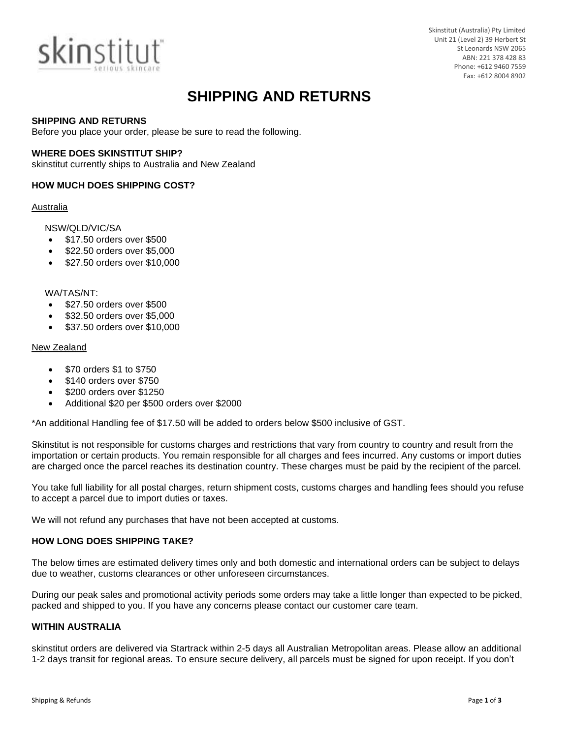

Skinstitut (Australia) Pty Limited Unit 21 (Level 2) 39 Herbert St St Leonards NSW 2065 ABN: 221 378 428 83 Phone: +612 9460 7559 Fax: +612 8004 8902

# **SHIPPING AND RETURNS**

### **SHIPPING AND RETURNS**

Before you place your order, please be sure to read the following.

# **WHERE DOES SKINSTITUT SHIP?**

skinstitut currently ships to Australia and New Zealand

# **HOW MUCH DOES SHIPPING COST?**

## Australia

# NSW/QLD/VIC/SA

- \$17.50 orders over \$500
- \$22.50 orders over \$5,000
- \$27.50 orders over \$10,000

#### WA/TAS/NT:

- \$27.50 orders over \$500
- \$32.50 orders over \$5,000
- \$37.50 orders over \$10,000

## New Zealand

- \$70 orders \$1 to \$750
- \$140 orders over \$750
- \$200 orders over \$1250
- Additional \$20 per \$500 orders over \$2000

\*An additional Handling fee of \$17.50 will be added to orders below \$500 inclusive of GST.

Skinstitut is not responsible for customs charges and restrictions that vary from country to country and result from the importation or certain products. You remain responsible for all charges and fees incurred. Any customs or import duties are charged once the parcel reaches its destination country. These charges must be paid by the recipient of the parcel.

You take full liability for all postal charges, return shipment costs, customs charges and handling fees should you refuse to accept a parcel due to import duties or taxes.

We will not refund any purchases that have not been accepted at customs.

### **HOW LONG DOES SHIPPING TAKE?**

The below times are estimated delivery times only and both domestic and international orders can be subject to delays due to weather, customs clearances or other unforeseen circumstances.

During our peak sales and promotional activity periods some orders may take a little longer than expected to be picked, packed and shipped to you. If you have any concerns please contact our customer care team.

## **WITHIN AUSTRALIA**

skinstitut orders are delivered via Startrack within 2-5 days all Australian Metropolitan areas. Please allow an additional 1-2 days transit for regional areas. To ensure secure delivery, all parcels must be signed for upon receipt. If you don't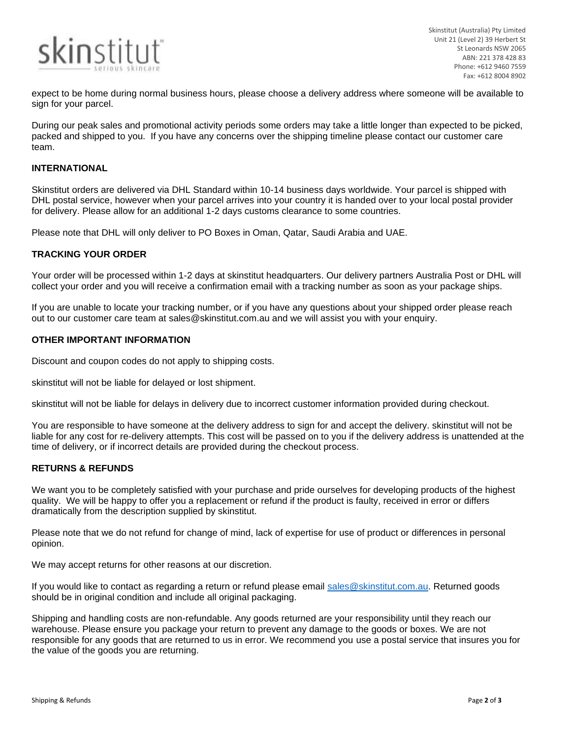

Skinstitut (Australia) Pty Limited Unit 21 (Level 2) 39 Herbert St St Leonards NSW 2065 ABN: 221 378 428 83 Phone: +612 9460 7559 Fax: +612 8004 8902

expect to be home during normal business hours, please choose a delivery address where someone will be available to sign for your parcel.

During our peak sales and promotional activity periods some orders may take a little longer than expected to be picked, packed and shipped to you. If you have any concerns over the shipping timeline please contact our customer care team.

# **INTERNATIONAL**

Skinstitut orders are delivered via DHL Standard within 10-14 business days worldwide. Your parcel is shipped with DHL postal service, however when your parcel arrives into your country it is handed over to your local postal provider for delivery. Please allow for an additional 1-2 days customs clearance to some countries.

Please note that DHL will only deliver to PO Boxes in Oman, Qatar, Saudi Arabia and UAE.

## **TRACKING YOUR ORDER**

Your order will be processed within 1-2 days at skinstitut headquarters. Our delivery partners Australia Post or DHL will collect your order and you will receive a confirmation email with a tracking number as soon as your package ships.

If you are unable to locate your tracking number, or if you have any questions about your shipped order please reach out to our customer care team at sales@skinstitut.com.au and we will assist you with your enquiry.

#### **OTHER IMPORTANT INFORMATION**

Discount and coupon codes do not apply to shipping costs.

skinstitut will not be liable for delayed or lost shipment.

skinstitut will not be liable for delays in delivery due to incorrect customer information provided during checkout.

You are responsible to have someone at the delivery address to sign for and accept the delivery. skinstitut will not be liable for any cost for re-delivery attempts. This cost will be passed on to you if the delivery address is unattended at the time of delivery, or if incorrect details are provided during the checkout process.

# **RETURNS & REFUNDS**

We want you to be completely satisfied with your purchase and pride ourselves for developing products of the highest quality. We will be happy to offer you a replacement or refund if the product is faulty, received in error or differs dramatically from the description supplied by skinstitut.

Please note that we do not refund for change of mind, lack of expertise for use of product or differences in personal opinion.

We may accept returns for other reasons at our discretion.

If you would like to contact as regarding a return or refund please email [sales@skinstitut.com.au.](mailto:sales@skinstitut.com.au) Returned goods should be in original condition and include all original packaging.

Shipping and handling costs are non-refundable. Any goods returned are your responsibility until they reach our warehouse. Please ensure you package your return to prevent any damage to the goods or boxes. We are not responsible for any goods that are returned to us in error. We recommend you use a postal service that insures you for the value of the goods you are returning.